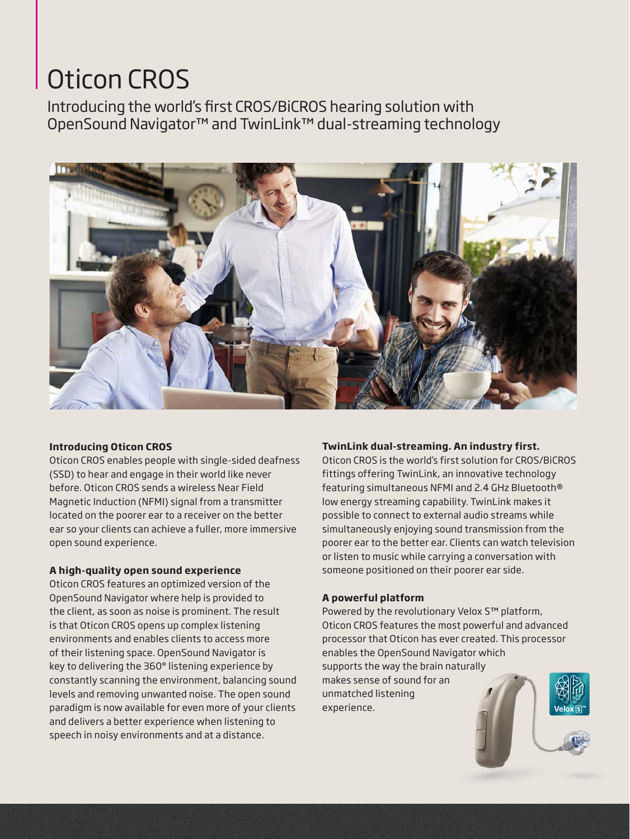# Oticon CROS

Introducing the world's first CROS/BiCROS hearing solution with OpenSound Navigator™ and TwinLink™ dual-streaming technology



#### **Introducing Oticon CROS**

Oticon CROS enables people with single-sided deafness (SSD) to hear and engage in their world like never before. Oticon CROS sends a wireless Near Field Magnetic Induction (NFMI) signal from a transmitter located on the poorer ear to a receiver on the better ear so your clients can achieve a fuller, more immersive open sound experience.

#### **A high-quality open sound experience**

Oticon CROS features an optimized version of the OpenSound Navigator where help is provided to the client, as soon as noise is prominent. The result is that Oticon CROS opens up complex listening environments and enables clients to access more of their listening space. OpenSound Navigator is key to delivering the 360° listening experience by constantly scanning the environment, balancing sound levels and removing unwanted noise. The open sound paradigm is now available for even more of your clients and delivers a better experience when listening to speech in noisy environments and at a distance.

#### **TwinLink dual-streaming. An industry first.**

Oticon CROS is the world's first solution for CROS/BiCROS fittings offering TwinLink, an innovative technology featuring simultaneous NFMI and 2.4 GHz Bluetooth® low energy streaming capability. TwinLink makes it possible to connect to external audio streams while simultaneously enjoying sound transmission from the poorer ear to the better ear. Clients can watch television or listen to music while carrying a conversation with someone positioned on their poorer ear side.

#### **A powerful platform**

Powered by the revolutionary Velox S™ platform, Oticon CROS features the most powerful and advanced processor that Oticon has ever created. This processor enables the OpenSound Navigator which supports the way the brain naturally makes sense of sound for an unmatched listening experience.